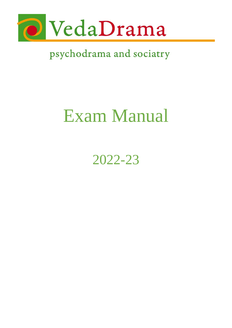

# Exam Manual

2022-23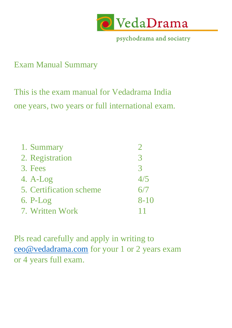

### Exam Manual Summary

This is the exam manual for Vedadrama India one years, two years or full international exam.

| 1. Summary              |               |
|-------------------------|---------------|
| 2. Registration         | $\mathcal{R}$ |
| 3. Fees                 | $\mathcal{R}$ |
| $4. A-Log$              | 4/5           |
| 5. Certification scheme | 6/7           |
| $6.$ P-Log              | $8 - 10$      |
| 7. Written Work         |               |

Pls read carefully and apply in writing to [ceo@vedadrama.com](mailto:ceo@vedadrama.com) for your 1 or 2 years exam or 4 years full exam.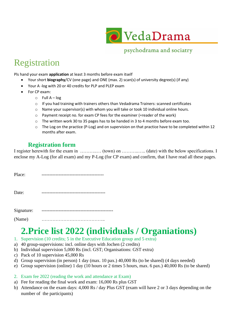

# Registration

Pls hand your exam **application** at least 3 months before exam itself

- Your short **biography**/CV (one page) and ONE (max. 2) scan(s) of university degree(s) (if any)
- Your A -log with 20 or 40 credits for PLP and PLEP exam
- For CP exam:
	- $\circ$  Full A log
	- $\circ$  If you had training with trainers others than Vedadrama Trainers: scanned certificates
	- $\circ$  Name your supervisor(s) with whom you will take or took 10 individual online hours.
	- o Payment receipt no. for exam CP fees for the examiner (=reader of the work)
	- $\circ$  The written work 30 to 35 pages has to be handed in 3 to 4 months before exam too.
	- $\circ$  The Log on the practice (P-Log) and on supervision on that practice have to be completed within 12 months after exam.

#### **Registration form**

I register herewith for the exam in ………….. (town) on ………….. (date) with the below specifications. I enclose my A-Log (for all exam) and my P-Log (for CP exam) and confirm, that I have read all these pages.

| Place:     |  |
|------------|--|
| Date:      |  |
| Signature: |  |

(Name) …………………………………..

### **2.Price list 2022 (individuals / Organiations)**

- 1. Supervision (10 credits; 5 in the Executive Education group and 5 extra)
- a) 40 group-supervisions: incl. online days with Jochen (2 credits)
- b) Individual supervision 5,000 Rs (incl. GST; Organisations: GST extra)
- c) Pack of 10 supervision 45,000 Rs
- d) Group supervision (in person) 1 day (max. 10 pax.) 40,000 Rs (to be shared) (4 days needed)
- e) Group supervision (online) 1 day (10 hours or 2 times 5 hours, max. 6 pax.) 40,000 Rs (to be shared)
- 2. Exam fee 2022 (reading the work and attendance at Exam)
- a) Fee for reading the final work and exam: 16,000 Rs plus GST
- b) Attendance on the exam days: 4,000 Rs / day Plus GST (exam will have 2 or 3 days depending on the number of the participants)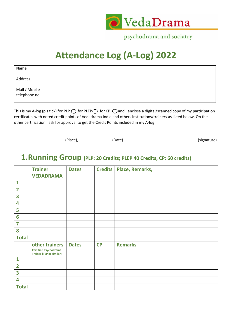

# **Attendance Log (A-Log) 2022**

| Name                          |  |
|-------------------------------|--|
| Address                       |  |
| Mail / Mobile<br>telephone no |  |

This is my A-log (pls tick) for PLP  $\bigcirc$  for PLEP  $\bigcirc$  for CP  $\bigcirc$  and I enclose a digital/scanned copy of my participation certificates with noted credit points of Vedadrama India and others institutions/trainers as listed below. On the other certification I ask for approval to get the Credit Points included in my A-log

\_\_\_\_\_\_\_\_\_\_\_\_\_\_\_\_\_\_\_\_\_\_\_\_(Place),\_\_\_\_\_\_\_\_\_\_\_\_\_\_\_\_(Date)\_\_\_\_\_\_\_\_\_\_\_\_\_\_\_\_\_\_\_\_\_\_\_\_\_\_\_\_\_\_\_\_\_\_\_(signature)

### **1.Running Group (PLP: 20 Credits; PLEP 40 Credits, CP: 60 credits)**

|                         | <b>Trainer</b>                                                                    | <b>Dates</b> |           | Credits   Place, Remarks, |
|-------------------------|-----------------------------------------------------------------------------------|--------------|-----------|---------------------------|
|                         | <b>VEDADRAMA</b>                                                                  |              |           |                           |
| $\mathbf{1}$            |                                                                                   |              |           |                           |
| $\overline{\mathbf{2}}$ |                                                                                   |              |           |                           |
| 3                       |                                                                                   |              |           |                           |
| 4                       |                                                                                   |              |           |                           |
| 5                       |                                                                                   |              |           |                           |
| 6                       |                                                                                   |              |           |                           |
| 7                       |                                                                                   |              |           |                           |
| 8                       |                                                                                   |              |           |                           |
| <b>Total</b>            |                                                                                   |              |           |                           |
|                         | other trainers<br><b>Certified Psychodrama</b><br><b>Trainer (TEP or similar)</b> | <b>Dates</b> | <b>CP</b> | <b>Remarks</b>            |
| $\mathbf{1}$            |                                                                                   |              |           |                           |
| $\overline{2}$          |                                                                                   |              |           |                           |
| 3                       |                                                                                   |              |           |                           |
| 4                       |                                                                                   |              |           |                           |
| <b>Total</b>            |                                                                                   |              |           |                           |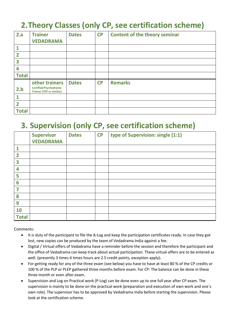### **2.Theory Classes (only CP, see certification scheme)**

| 2.a            | <b>Trainer</b><br><b>VEDADRAMA</b>                                                | <b>Dates</b> | <b>CP</b> | <b>Content of the theory seminar</b> |
|----------------|-----------------------------------------------------------------------------------|--------------|-----------|--------------------------------------|
|                |                                                                                   |              |           |                                      |
| 2              |                                                                                   |              |           |                                      |
| 3              |                                                                                   |              |           |                                      |
| 4              |                                                                                   |              |           |                                      |
| <b>Total</b>   |                                                                                   |              |           |                                      |
| 2.b            | other trainers<br><b>Certified Psychodrama</b><br><b>Trainer (TEP or similar)</b> | <b>Dates</b> | <b>CP</b> | <b>Remarks</b>                       |
|                |                                                                                   |              |           |                                      |
| $\overline{2}$ |                                                                                   |              |           |                                      |
| <b>Total</b>   |                                                                                   |              |           |                                      |

### **3. Supervision (only CP, see certification scheme)**

|                | <b>Supervisor</b><br><b>VEDADRAMA</b> | <b>Dates</b> | CP | type of Supervision: single (1:1) |
|----------------|---------------------------------------|--------------|----|-----------------------------------|
| 1              |                                       |              |    |                                   |
| $\overline{2}$ |                                       |              |    |                                   |
| 3              |                                       |              |    |                                   |
| 4              |                                       |              |    |                                   |
| 5              |                                       |              |    |                                   |
| 6              |                                       |              |    |                                   |
| 7              |                                       |              |    |                                   |
| 8              |                                       |              |    |                                   |
| 9              |                                       |              |    |                                   |
| 10             |                                       |              |    |                                   |
| <b>Total</b>   |                                       |              |    |                                   |

Comments:

- It is duty of the participant to file the A-Log and keep the participation certificates ready. In case they got lost, new copies can be produced by the team of Vedadrama India against a fee.
- Digital / Virtual offers of Vedadrama have a reminder before the session and therefore the participant and the office of Vedadrama can keep track about actual participation. These virtual offers are to be entered as well. (presently 3 times 4 times hours are 2.5 credit points, exception apply).
- For getting ready for any of the three exam (see below) you have to have at least 80 % of the CP credits or 100 % of the PLP or PLEP gathered three months before exam. For CP: The balance can be done in these three month or even after exam.
- Supervision and Log on Practical work (P-Log) can be done even up to one full year after CP exam. The supervision is mainly to be done on the practical work (preparation and execution of own work and one´s own role). The supervisor has to be approved by Vedadrama India before starting the supervision. Please look at the certification scheme.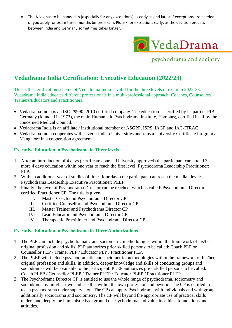• The A-log has to be handed in (especially for any exceptions) as early as and latest if exceptions are needed or you apply for exam three months before exam. Pls ask for exceptions early, as the decision process between India and Germany sometimes takes longer.



psychodrama and sociatry

#### **Vedadrama India Certification: Executive Education (2022/23)**

This is the certification scheme of Vedadrama India is valid for the three levels of exam in 2022-23. Vedadrama India educates different professionals in a multi-professional approach: Coaches, Counsellors, Trainers/Educators and Practitioners.

- Vedadrama India is an ISO 29990: 2010 certified company. The education is certified by its partner PIB Germany (founded in 1973), the main Humanistic Psychodrama Institute, Hamburg, certified itself by the concerned Medical Council.
- Vedadrama India is an affiliate / institutional member of ASGPP, ISPS, IAGP and IAC-ITRAC.
- Vedadrama India cooperates with several Indian Universities and runs a University Certificate Program at Mangalore in a cooperation agreement.

#### **Executive Education in Psychodrama in Three levels**

- 1. After an introduction of 4 days (certificate course, University approved) the participant can attend 3 more 4 days education within one year to reach the first level: Psychodrama Leadership Practitioner: PLP.
- 2. With an additional year of studies (4 times four days) the participant can reach the median level: Psychodrama Leadership Executive Practitioner: PLEP.
- 3. Finally, the level of Psychodrama Director can be reached, which is called: Psychodrama Director certified Practitioner CP. The title is given:
	- I. Master Coach und Psychodrama Director CP
	- II. Certified Counsellor and Psychodrama Director CP
	- III. Master Trainer and Psychodrama Director CP
	- IV. Lead Educator and Psychodrama Director CP
	- V. Therapeutic Practitioner and Psychodrama Director CP

#### **Executive Education in Psychodrama in Three Authorizations**

- 1. The PLP can include psychodramatic and sociometric methodologies within the framework of his/her original profession and skills. PLP authorizes prior skilled persons to be called: Coach PLP or Counsellor PLP / Trainer PLP / Educator PLP / Practitioner PLP.
- 2. The PLEP will include psychodramatic and sociometric methodologies within the framework of his/her original profession and skills. In addition, deeper knowledge and skills of conducting groups and sociodramas will be available to the participant. PLEP authorizes prior skilled persons to be called: Coach PLEP / Counsellor PLEP / Trainer PLEP / Educator PLEP / Practitioner PLEP.
- 3. The Psychodrama Director CP is entitled to use the whole range of psychodrama, sociometry and sociodrama by him/her own and use this within the own profession and beyond. The CP is entitled to teach psychodrama under supervision. The CP can apply Psychodrama with individuals and with groups additionally sociodrama and sociometry. The CP will beyond the appropriate use of practical skills understand deeply the humanistic background of Psychodrama and value its ethics, foundations and attitudes.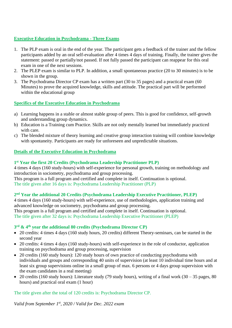#### **Executive Education in Psychodrama - Three Exams**

- 1. The PLP exam is oral in the end of the year. The participant gets a feedback of the trainer and the fellow participants added by an oral self-evaluation after 4 times 4 days of training. Finally, the trainer gives the statement: passed or partially/not passed. If not fully passed the participant can reappear for this oral exam in one of the next sessions.
- 2. The PLEP exam is similar to PLP. In addition, a small spontaneous practice (20 to 30 minutes) is to be shown in the group.
- 3. The Psychodrama Director CP exam has a written part (30 to 35 pages) and a practical exam (60 Minutes) to prove the acquired knowledge, skills and attitude. The practical part will be performed within the educational group

#### **Specifics of the Executive Education in Psychodrama**

- a) Learning happens in a stable or almost stable group of peers. This is good for confidence, self-growth and understanding group dynamics.
- b) Education is a Training cum Practice. Skills are not only mentally learned but immediately practiced with care.
- c) The blended mixture of theory learning and creative group interaction training will combine knowledge with spontaneity. Participants are ready for unforeseen and unpredictable situations.

#### **Details of the Executive Education in Psychodrama**

#### **1 st Year the first 20 Credits (Psychodrama Leadership Practitioner PLP)**

4 times 4 days (160 study-hours) with self-experience for personal growth, training on methodology and introduction in sociometry, psychodrama and group processing.

This program is a full program and certified and complete in itself. Continuation is optional. The title given after 16 days is: Psychodrama Leadership Practitioner (PLP)

#### **2 nd Year the additional 20 Credits (Psychodrama Leadership Executive Practitioner, PLEP)**

4 times 4 days (160 study-hours) with self-experience, use of methodologies, application training and advanced knowledge on sociometry, psychodrama and group processing. This program is a full program and certified and complete in itself. Continuation is optional. The title given after 32 days is: Psychodrama Leadership Executive Practitioner (PLEP)

#### **3 rd & 4th year the additional 80 credits (Psychodrama Director CP)**

- 20 credits: 4 times 4 days (160 study hours, 20 credits) different Theory-seminars, can be started in the second year
- 20 credits: 4 times 4 days (160 study-hours) with self-experience in the role of conductor, application training on psychodrama and group processing, supervision
- 20 credits (160 study hours): 120 study hours of own practice of conducting psychodrama with individuals and groups and corresponding 40 units of supervision (at least 10 individual time hours and at least six group supervisions online in a small group of max. 6 persons or 4 days group supervision with the exam candidates in a real meeting)
- 20 credits (160 study hours): Literature study (79 study hours), writing of a final work (30 35 pages, 80 hours) and practical oral exam (1 hour)

The title given after the total of 120 credits is: Psychodrama Director CP.

*Valid from September 1st, 2020 / Valid for Dec. 2022 exam*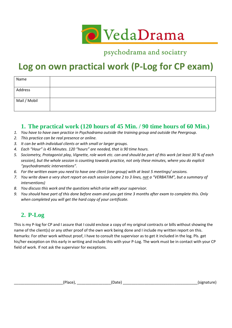

# **Log on own practical work (P-Log for CP exam)**

| Name         |  |
|--------------|--|
| Address      |  |
| Mail / Mobil |  |

#### **1. The practical work (120 hours of 45 Min. / 90 time hours of 60 Min.)**

- *1. You have to have own practice in Psychodrama outside the training group and outside the Peergroup.*
- *2. This practice can be real presence or online.*
- *3. It can be with individual clients or with small or larger groups.*
- *4. Each "Hour" is 45 Minutes. 120 "hours" are needed, that is 90 time hours.*
- *5. Sociometry, Protagonist play, Vignette, role work etc. can and should be part of this work (at least 30 % of each session), but the whole session is counting towards practice, not only these minutes, where you do explicit "psychodramatic interventions".*
- *6. For the written exam you need to have one client (one group) with at least 5 meetings/ sessions.*
- *7. You write down a very short report on each session (some 2 to 3 lines, not a "VERBATIM", but a summary of interventions)*
- *8. You discuss this work and the questions which arise with your supervisor.*
- *9. You should have part of this done before exam and you get time 3 months after exam to complete this. Only when completed you will get the hard copy of your certificate.*

#### **2. P-Log**

This is my P-log for CP and I assure that I could enclose a copy of my original contracts or bills without showing the name of the client(s) or any other proof of the own work being done and I include my written report on this. Remarks: For other work without proof, I have to consult the supervisor as to get it included in the log. Pls. get his/her exception on this early in writing and include this with your P-Log. The work must be in contact with your CP field of work. If not ask the supervisor for exceptions.

| . .<br>. .<br>. . | . .<br><b>Contract Contract</b><br>. .<br>. . | אור<br>.<br>. . |
|-------------------|-----------------------------------------------|-----------------|
|-------------------|-----------------------------------------------|-----------------|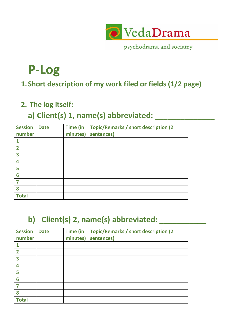

# **P-Log**

### **1. Short description of my work filed or fields (1/2 page)**

### **2. The log itself:**

### **a) Client(s) 1, name(s) abbreviated: \_\_\_\_\_\_\_\_\_\_\_\_\_\_**

| <b>Session</b> | <b>Date</b> | <b>Time (in</b> | Topic/Remarks / short description (2) |
|----------------|-------------|-----------------|---------------------------------------|
| number         |             | minutes)        | sentences)                            |
|                |             |                 |                                       |
| $\overline{2}$ |             |                 |                                       |
| 3              |             |                 |                                       |
| 4              |             |                 |                                       |
| 5              |             |                 |                                       |
| 6              |             |                 |                                       |
|                |             |                 |                                       |
| 8              |             |                 |                                       |
| <b>Total</b>   |             |                 |                                       |

# **b) Client(s) 2, name(s) abbreviated: \_\_\_\_\_\_\_\_\_\_\_**

| <b>Session</b>          | <b>Date</b> | <b>Time (in</b> | <b>Topic/Remarks / short description (2)</b> |
|-------------------------|-------------|-----------------|----------------------------------------------|
| number                  |             | minutes)        | sentences)                                   |
|                         |             |                 |                                              |
| $\overline{\mathbf{2}}$ |             |                 |                                              |
| $\overline{\mathbf{3}}$ |             |                 |                                              |
| 4                       |             |                 |                                              |
| 5                       |             |                 |                                              |
| 6                       |             |                 |                                              |
|                         |             |                 |                                              |
| 8                       |             |                 |                                              |
| <b>Total</b>            |             |                 |                                              |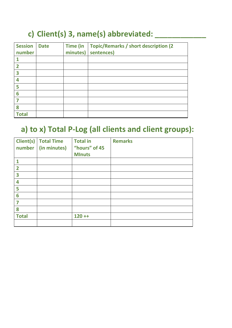### **c) Client(s) 3, name(s) abbreviated: \_\_\_\_\_\_\_\_\_\_\_\_**

| <b>Session</b><br>number | <b>Date</b> | <b>Time (in</b><br>minutes) | <b>Topic/Remarks / short description (2)</b><br>sentences) |
|--------------------------|-------------|-----------------------------|------------------------------------------------------------|
|                          |             |                             |                                                            |
| $\overline{\mathbf{2}}$  |             |                             |                                                            |
| 3                        |             |                             |                                                            |
| 4                        |             |                             |                                                            |
| 5                        |             |                             |                                                            |
| 6                        |             |                             |                                                            |
|                          |             |                             |                                                            |
| 8                        |             |                             |                                                            |
| <b>Total</b>             |             |                             |                                                            |

### **a) to x) Total P-Log (all clients and client groups):**

| number                  | <b>Client(s)</b> Total Time<br>(in minutes) | <b>Total in</b><br>"hours" of 45 | <b>Remarks</b> |
|-------------------------|---------------------------------------------|----------------------------------|----------------|
|                         |                                             | <b>MInuts</b>                    |                |
| 1                       |                                             |                                  |                |
| $\overline{\mathbf{2}}$ |                                             |                                  |                |
| 3                       |                                             |                                  |                |
| 4                       |                                             |                                  |                |
| 5                       |                                             |                                  |                |
| 6                       |                                             |                                  |                |
| 7                       |                                             |                                  |                |
| 8                       |                                             |                                  |                |
| <b>Total</b>            |                                             | $120 + +$                        |                |
|                         |                                             |                                  |                |